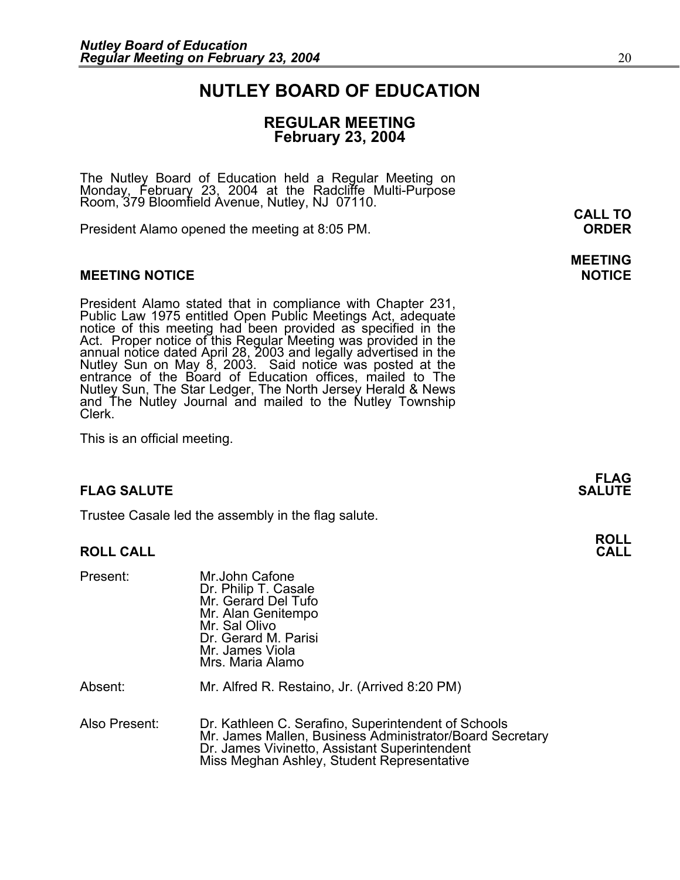## **NUTLEY BOARD OF EDUCATION**

### **REGULAR MEETING February 23, 2004**

The Nutley Board of Education held a Regular Meeting on<br>Monday, February 23, 2004 at the Radcliffe Multi-Purpose<br>Room, 379 Bloomfield Avenue, Nutley, NJ 07110.

President Alamo opened the meeting at 8:05 PM. **ORDER**

#### **MEETING NOTICE NOTICE AND INCLUSION CONTROL**

President Alamo stated that in compliance with Chapter 231,<br>Public Law 1975 entitled Open Public Meetings Act, adequate<br>notice of this meeting had been provided as specified in the<br>Act. Proper notice of this Regular Meetin annual notice dated April 28, 2003 and legally advertised in the<br>Nutley Sun on May 8, 2003. Said notice was posted at the<br>entrance of the Board of Education offices, mailed to The Nutley Sun, The Star Ledger, The North Jersey Herald & News and The Nutley Journal and mailed to the Nutley Township Clerk.

This is an official meeting.

#### **FLAG SALUTE** SALUTE SALUTE SALUTE SALUTE SALUTE SALUTE SALUTE SALUTE SALUTE SALUTE SALUTE SALUTE SALUTE SALUTE SALUTE SALUTE SALUTE SALUTE SALUTE SALUTE SALUTE SALUTE SALUTE SALUTE SALUTE SALUTE SALUTE SALUTE SALUTE SALUT

Trustee Casale led the assembly in the flag salute.

#### **ROLL CALL CALL**

| Present:      | Mr.John Cafone<br>Dr. Philip T. Casale<br>Mr. Gerard Del Tufo<br>Mr. Alan Genitempo<br>Mr. Sal Olivo<br>Dr. Gerard M. Parisi<br>Mr. James Viola<br>Mrs. Maria Alamo                                            |
|---------------|----------------------------------------------------------------------------------------------------------------------------------------------------------------------------------------------------------------|
| Absent:       | Mr. Alfred R. Restaino, Jr. (Arrived 8:20 PM)                                                                                                                                                                  |
| Also Present: | Dr. Kathleen C. Serafino, Superintendent of Schools<br>Mr. James Mallen, Business Administrator/Board Secretary<br>Dr. James Vivinetto, Assistant Superintendent<br>Miss Meghan Ashley, Student Representative |

**CALL TO** 

**MEETING** 

**FLAG** 

**ROLL**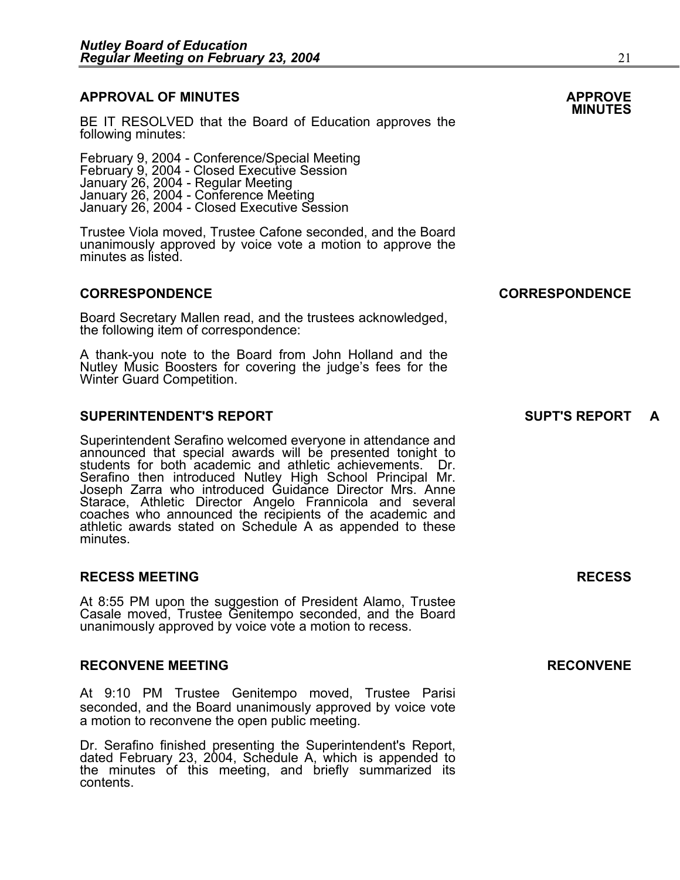# **APPROVAL OF MINUTES APPROVE**

BE IT RESOLVED that the Board of Education approves the following minutes:

February 9, 2004 - Conference/Special Meeting February 9, 2004 - Closed Executive Session January 26, 2004 - Regular Meeting January 26, 2004 - Conference Meeting January 26, 2004 - Closed Executive Session

Trustee Viola moved, Trustee Cafone seconded, and the Board unanimously approved by voice vote a motion to approve the minutes as listed.

#### **CORRESPONDENCE CORRESPONDENCE**

Board Secretary Mallen read, and the trustees acknowledged, the following item of correspondence:

A thank-you note to the Board from John Holland and the Nutley Music Boosters for covering the judge's fees for the Winter Guard Competition.

#### **SUPERINTENDENT'S REPORT SUPT'S REPORT A**

Superintendent Serafino welcomed everyone in attendance and announced that special awards will be presented tonight to students for both academic and athletic achievements. Dr.<br>Serafino then introduced Nutley High School Principal Mr. Joseph Zarra who introduced Guidance Director Mrs. Anne Starace, Athletic Director Angelo Frannicola and several coaches who announced the recipients of the academic and athletic awards stated on Schedule A as appended to these minutes.

#### **RECESS MEETING RECESS**

At 8:55 PM upon the suggestion of President Alamo, Trustee Casale moved, Trustee Genitempo seconded, and the Board unanimously approved by voice vote a motion to recess.

#### **RECONVENE MEETING RECONVENE**

At 9:10 PM Trustee Genitempo moved, Trustee Parisi seconded, and the Board unanimously approved by voice vote a motion to reconvene the open public meeting.

Dr. Serafino finished presenting the Superintendent's Report, dated February 23, 2004, Schedule A, which is appended to the minutes of this meeting, and briefly summarized its contents.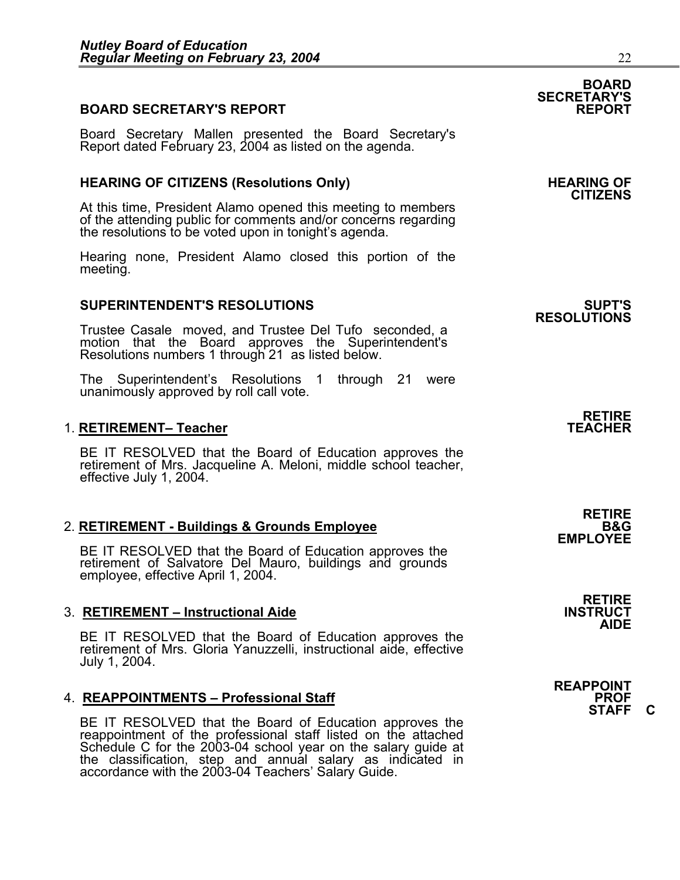### **BOARD SECRETARY'S REPORT**

Board Secretary Mallen presented the Board Secretary's Report dated February 23, 2004 as listed on the agenda.

#### HEARING OF CITIZENS (Resolutions Only) **HEARING OF SEARING** OF

At this time, President Alamo opened this meeting to members of the attending public for comments and/or concerns regarding the resolutions to be voted upon in tonight's agenda.

Hearing none, President Alamo closed this portion of the meeting.

#### **SUPERINTENDENT'S RESOLUTIONS SUPT'S**

Trustee Casale moved, and Trustee Del Tufo seconded, a motion that the Board approves the Superintendent's Resolutions numbers 1 through 21 as listed below.

The Superintendent's Resolutions 1 through 21 were unanimously approved by roll call vote.

#### 1. RETIREMENT- Teacher

BE IT RESOLVED that the Board of Education approves the retirement of Mrs. Jacqueline A. Meloni, middle school teacher, effective July 1, 2004.

# 2. **RETIREMENT - Buildings & Grounds Employee**<br>EMPLOYEE BE IT RESOLVED that the Board of Education approves the

BE IT RESOLVED that the Board of Board of Salvatore Del Mauro, buildings and grounds employee, effective April 1, 2004.

#### **3. RETIREMENT – Instructional Aide**

BE IT RESOLVED that the Board of Education approves the retirement of Mrs. Gloria Yanuzzelli, instructional aide, effective July 1, 2004.

#### 4. REAPPOINTMENTS - Professional Staff

BE IT RESOLVED that the Board of Education approves the reappointment of the professional staff listed on the attached Schedule C for the 2003-04 school year on the salary guide at the classification, step and annual salary as indicated in accordance with the 2003-04 Teachers' Salary Guide. **SECRETARY'S** 

**RESOLUTIONS** 

**RETIRE** 

**RETIRE** 

**RETIRE**<br>INSTRUCT **AIDE** 

**REAPPOINT STAFF C** 

**BOARD**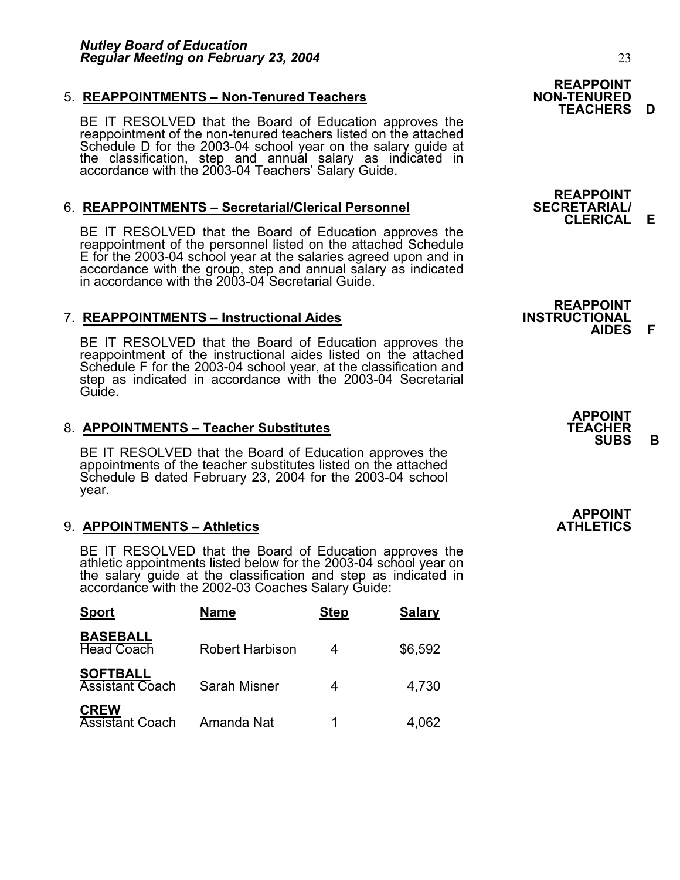### 5. **REAPPOINTMENTS - Non-Tenured Teachers**

BE IT RESOLVED that the Board of Education approves the reappointment of the non-tenured teachers listed on the attached Schedule D for the 2003-04 school year on the salary guide at the classification, step and annual salary as indicated in accordance with the 2003-04 Teachers' Salary Guide.

### 6. **REAPPOINTMENTS – Secretarial/Clerical Personnel**

BE IT RESOLVED that the Board of Education approves the reappointment of the personnel listed on the attached Schedule E for the 2003-04 school year at the salaries agreed upon and in accordance with the group, step and annual salary as indicated in accordance with the 2003-04 Secretarial Guide.

### **7. REAPPOINTMENTS – Instructional Aides**

BE IT RESOLVED that the Board of Education approves the reappointment of the instructional aides listed on the attached Schedule F for the 2003-04 school year, at the classification and step as indicated in accordance with the 2003-04 Secretarial Guide.

# 8. **APPOINTMENTS – Teacher Substitutes TEACHER SUBS B**

BE IT RESOLVED that the Board of Education approves the appointments of the teacher substitutes listed on the attached Schedule B dated February 23, 2004 for the 2003-04 school year.

#### 9. **APPOINTMENTS – Athletics**

BE IT RESOLVED that the Board of Education approves the athletic appointments listed below for the 2003-04 school year on<br>the salary guide at the classification and step as indicated in<br>accordance with the 2002-03 Coaches Salary Guide:

| <b>Sport</b>                              | <b>Name</b>     | <b>Step</b> | <b>Salary</b> |
|-------------------------------------------|-----------------|-------------|---------------|
| <b>BASEBALL</b><br><b>Head Coach</b>      | Robert Harbison | 4           | \$6,592       |
| <b>SOFTBALL</b><br><b>Assistant Coach</b> | Sarah Misner    |             | 4,730         |
| <b>CREW</b><br><b>Assistant Coach</b>     | Amanda Nat      | 1           | 4,062         |





**REAPPOINT<br>INSTRUCTIONAL AIDES F** 

| <b>APPOINT</b> |
|----------------|
| TEACHER        |
| <b>SUBS</b>    |

**APPOINT**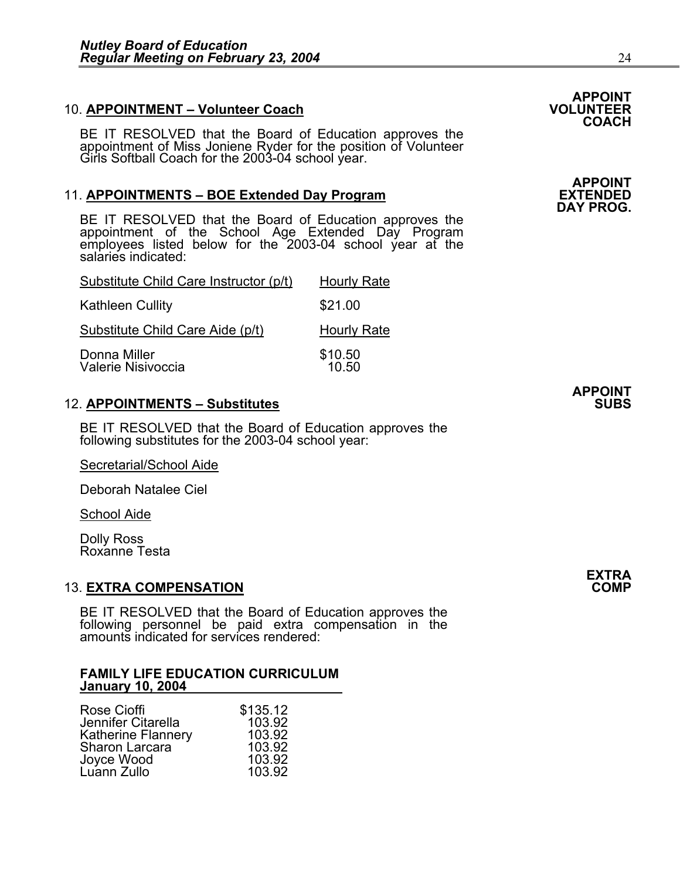#### 10. **APPOINTMENT – Volunteer Coach**

BE IT RESOLVED that the Board of Education approves the appointment of Miss Joniene Ryder for the position of Volunteer Girls Softball Coach for the 2003-04 school year.

#### 11. **APPOINTMENTS – BOE Extended Day Program**

BE IT RESOLVED that the Board of Education approves the appointment of the School Age Extended Day Program employees listed below for the 2003-04 school year at the salaries indicated:

| Substitute Child Care Instructor (p/t) | <b>Hourly Rate</b> |
|----------------------------------------|--------------------|
| <b>Kathleen Cullity</b>                | \$21.00            |
| Substitute Child Care Aide (p/t)       | <b>Hourly Rate</b> |
| Donna Miller<br>Valerie Nisivoccia     | \$10.50<br>10.50   |

### 12. APPOINTMENTS – Substitutes **SUBS**

BE IT RESOLVED that the Board of Education approves the following substitutes for the 2003-04 school year:

Secretarial/School Aide

Deborah Natalee Ciel

School Aide

Dolly Ross Roxanne Testa

#### 13. **EXTRA COMPENSATION COMP**

BE IT RESOLVED that the Board of Education approves the following personnel be paid extra compensation in the amounts indicated for services rendered:

#### **FAMILY LIFE EDUCATION CURRICULUM January 10, 2004**

| \$135.12 |
|----------|
| 103.92   |
| 103.92   |
| 103.92   |
| 103.92   |
| 103.92   |
|          |

**DAY PROG.** 

**APPOINT**

**COACH** 

**EXTRA**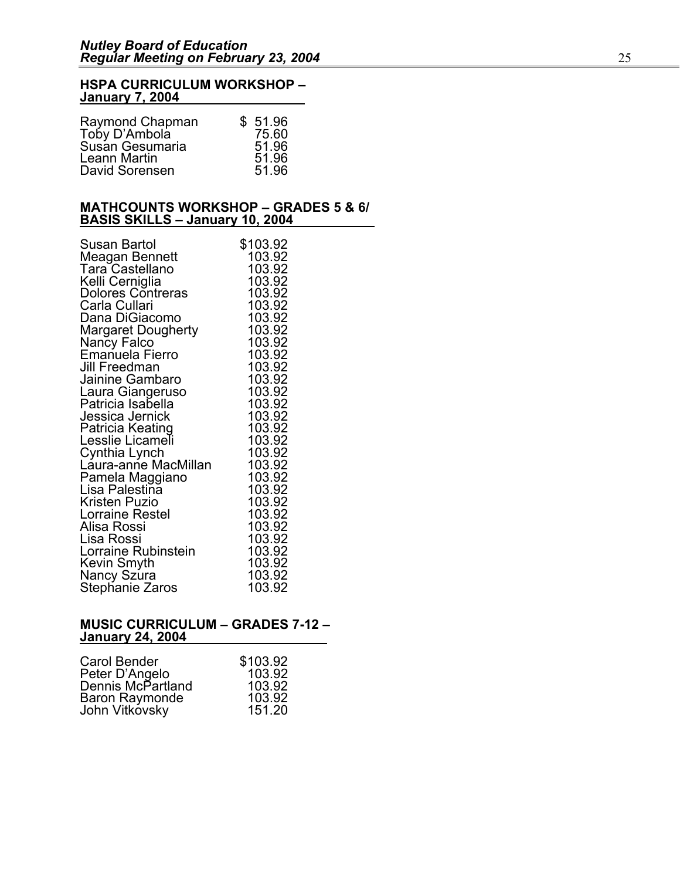#### **HSPA CURRICULUM WORKSHOP – January 7, 2004**

| \$51.96 |
|---------|
| 75.60   |
| 51.96   |
| 51.96   |
| 51.96   |
|         |

#### **MATHCOUNTS WORKSHOP – GRADES 5 & 6/ BASIS SKILLS – January 10, 2004**

| Susan Bartol              | \$103.92         |
|---------------------------|------------------|
| Meagan Bennett            | 103.92           |
| Tara Castellano           | 103.92           |
| Kelli Cerniglia           | 103.92           |
| <b>Dolores Contreras</b>  | 103.92           |
| Carla Cullari             | 103.92           |
| Dana DiGiacomo            | 103.92           |
| <b>Margaret Dougherty</b> | 103.92           |
| Nancy Falco               | 103.92           |
| Emanuela Fierro           | 103.92           |
| Jill Freedman             | 103.92           |
| Jainine Gambaro           | 103.92           |
| Laura Giangeruso          | 103.92           |
| Patricia Isabella         | 103.92           |
| Jessica Jernick           | 103.92           |
| Patricia Keating          | 103.92           |
| Lesslie Licameli          | 103.92           |
| Cynthia Lynch             | 103.92           |
| Láura-anńe MacMillan      | 103.92           |
| Pamela Maggiano           | 103.92           |
| Lisa Palestina            | 103.92           |
| <b>Kristen Puzio</b>      | 103.92           |
| Lorraine Restel           | 103.92           |
| Alisa Rossi               | 103.92           |
| Lisa Rossi                | 103.92           |
| Lorraine Rubinstein       | 103.92<br>103.92 |
| Kevin Smyth               | 103.92           |
| Nancy Szúra               | 103.92           |
| Stephanie Zaros           |                  |

#### **MUSIC CURRICULUM – GRADES 7-12 – January 24, 2004**

| Carol Bender                        | \$103.92 |
|-------------------------------------|----------|
|                                     | 103.92   |
| Peter D'Angelo<br>Dennis McPartland | 103.92   |
|                                     | 103.92   |
| Baron Raymonde<br>John Vitkovsky    | 151.20   |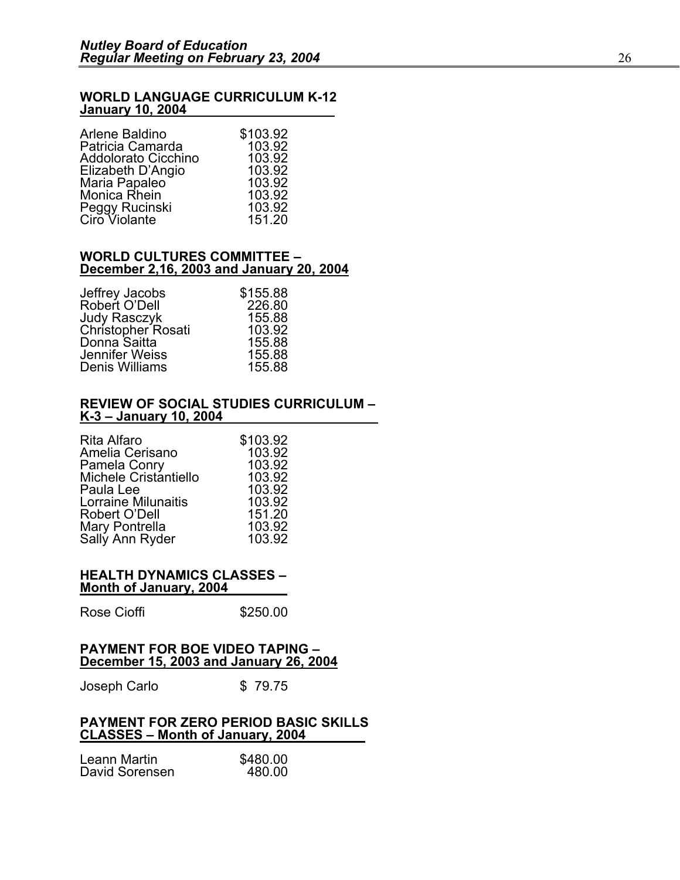#### **WORLD LANGUAGE CURRICULUM K-12 January 10, 2004**

| Arlene Baldino      | \$103.92 |
|---------------------|----------|
| Patricia Camarda    | 103.92   |
| Addolorato Cicchino | 103.92   |
| Elizabeth D'Angio   | 103.92   |
| Maria Papaleo       | 103.92   |
| Monica Rhein        | 103.92   |
| Peggy Rucinski      | 103.92   |
| Ciro Violante       | 151.20   |

#### **WORLD CULTURES COMMITTEE – December 2,16, 2003 and January 20, 2004**

| \$155.88 |
|----------|
| 226.80   |
| 155.88   |
| 103.92   |
| 155.88   |
| 155.88   |
| 155.88   |
|          |

#### **REVIEW OF SOCIAL STUDIES CURRICULUM – K-3 – January 10, 2004**

| Rita Alfaro                       | \$103.92 |
|-----------------------------------|----------|
| Amelia Cerisano                   | 103.92   |
| Pamela Conry                      | 103.92   |
| Michele Cristantiello             | 103.92   |
| Paula Lee                         | 103.92   |
| <b>Lorraine Milunaitis</b>        | 103.92   |
| Robert O'Dell                     | 151.20   |
| Mary Pontrella<br>Sally Ann Ryder | 103.92   |
|                                   | 103.92   |
|                                   |          |

#### **HEALTH DYNAMICS CLASSES – Month of January, 2004**

Rose Cioffi 5250.00

#### **PAYMENT FOR BOE VIDEO TAPING – December 15, 2003 and January 26, 2004**

Joseph Carlo  $$79.75$ 

#### **PAYMENT FOR ZERO PERIOD BASIC SKILLS CLASSES – Month of January, 2004**

| Leann Martin   | \$480.00 |
|----------------|----------|
| David Sorensen | 480.00   |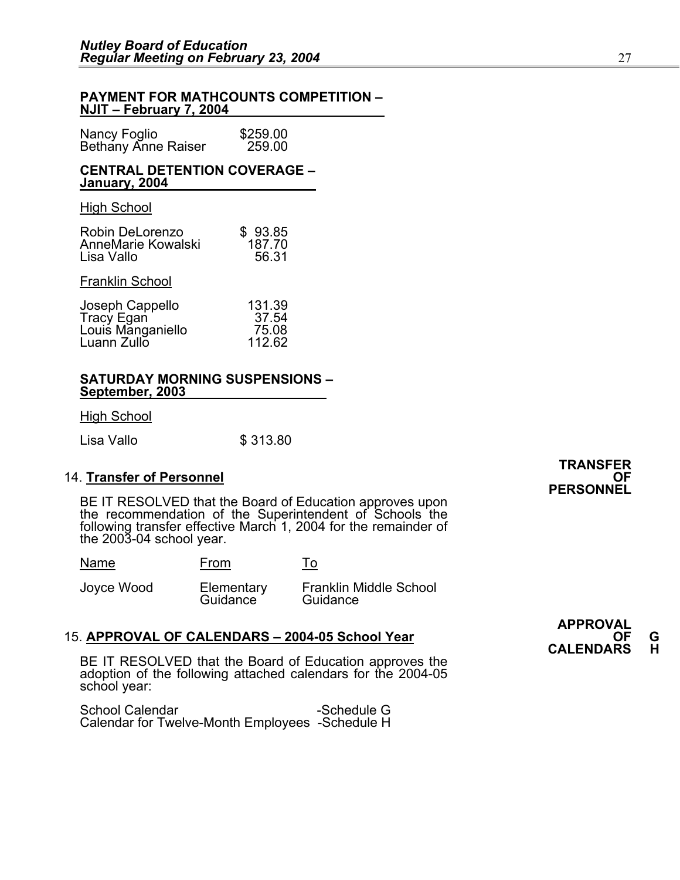#### **PAYMENT FOR MATHCOUNTS COMPETITION – NJIT – February 7, 2004**

| Nancy Foglio               | \$259.00 |
|----------------------------|----------|
| <b>Bethany Anne Raiser</b> | 259.00   |

#### **CENTRAL DETENTION COVERAGE – January, 2004**

#### High School

| Robin DeLorenzo    | \$93.85 |
|--------------------|---------|
| AnneMarie Kowalski | 187.70  |
| Lisa Vallo         | 56.31   |

#### Franklin School

| Joseph Cappello   | 131.39 |
|-------------------|--------|
| Tracy Egan        | 37.54  |
| Louis Manganiello | 75.08  |
| Luann Zullo       | 112.62 |

#### **SATURDAY MORNING SUSPENSIONS – September, 2003**

High School

Lisa Vallo **\$ 313.80** 

14. **Transfer of Personnel**<br>**PERSONNEL** BE IT RESOLVED that the Board of Education approves upon the recommendation of the Superintendent of Schools the following transfer effective March 1, 2004 for the remainder of the 2003-04 school year.

<u>Name From</u> <u>Fo</u>

Guidance

Joyce Wood Elementary Franklin Middle School

# 15. **APPROVAL OF CALENDARS – 2004-05 School Year** (15. **APPROVAL OF CALENDARS – 2004-05 School Year** (15. **CALENDARS** H **BE IT RESOLVED** that the Board of Education approves the

adoption of the following attached calendars for the 2004-05 school year:

School Calendar -Schedule G Calendar for Twelve-Month Employees -Schedule H **TRANSFER** 

**APPROVAL**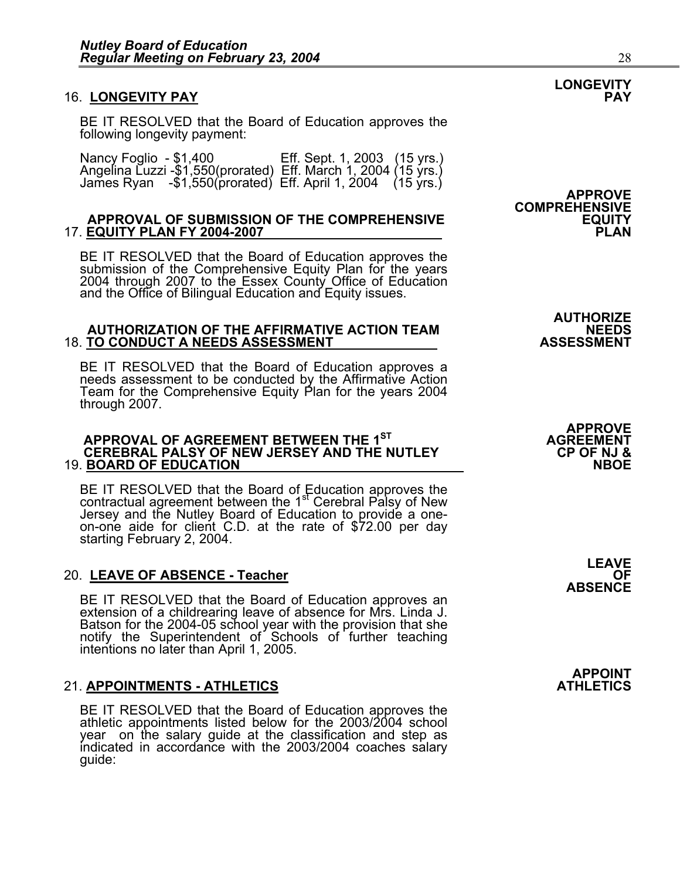#### 16. LONGEVITY PAY

BE IT RESOLVED that the Board of Education approves the following longevity payment:

Nancy Foglio - \$1,400 Eff. Sept. 1, 2003 (15 yrs.) Angelina Luzzi -\$1,550(prorated) Eff. March 1, 2004 (15 yrs.) James Ryan -\$1,550(prorated) Eff. April 1, 2004 (15 yrs.)

#### **APPROVAL OF SUBMISSION OF THE COMPREHENSIVE EQUITY**  17. **EQUITY PLAN FY 2004-2007**

BE IT RESOLVED that the Board of Education approves the submission of the Comprehensive Equity Plan for the years 2004 through 2007 to the Essex County Office of Education<br>and the Office of Bilingual Education and Equity issues.

## AUTHORIZE<br>AUTHORIZATION OF THE AFFIRMATIVE ACTION TEAM **AUTHORIZE**<br>ASSESSMENT O CONDUCT A NEEDS ASSESSMENT **18. TO CONDUCT A NEEDS ASSESSMENT**

BE IT RESOLVED that the Board of Education approves a needs assessment to be conducted by the Affirmative Action Team for the Comprehensive Equity Plan for the years 2004 through 2007.

#### **APPROVAL OF AGREEMENT BETWEEN THE 1ST AGREEMENT CEREBRAL PALSY OF NEW JERSEY AND THE NUTLEY CP OF NJ & 19. BOARD OF EDUCATION**

BE IT RESOLVED that the Board of Education approves the contractual agreement between the 1<sup>st</sup> Cerebral Palsy of New contractual agreement between the 1st Cerebral Palsy of New Jersey and the Nutley Board of Education to provide a one-<br>on-one aide for client C.D. at the rate of \$72.00 per day starting February 2, 2004.

#### 20. LEAVE OF ABSENCE - Teacher

BE IT RESOLVED that the Board of Education approves an extension of a childrearing leave of absence for Mrs. Linda J.<br>Batson for the 2004-05 school year with the provision that she notify the Superintendent of Schools of further teaching intentions no later than April 1, 2005.

#### **21. APPOINTMENTS - ATHLETICS**

BE IT RESOLVED that the Board of Education approves the athletic appointments listed below for the 2003/2004 school year on the salary guide at the classification and step as indicated in accordance with the 2003/2004 coaches salary guide: **APPROVE COMPREHENSIVE** 

**APPROVE** 

**LEAVE ABSENCE** 

**APPOINT** 

**LONGEVITY**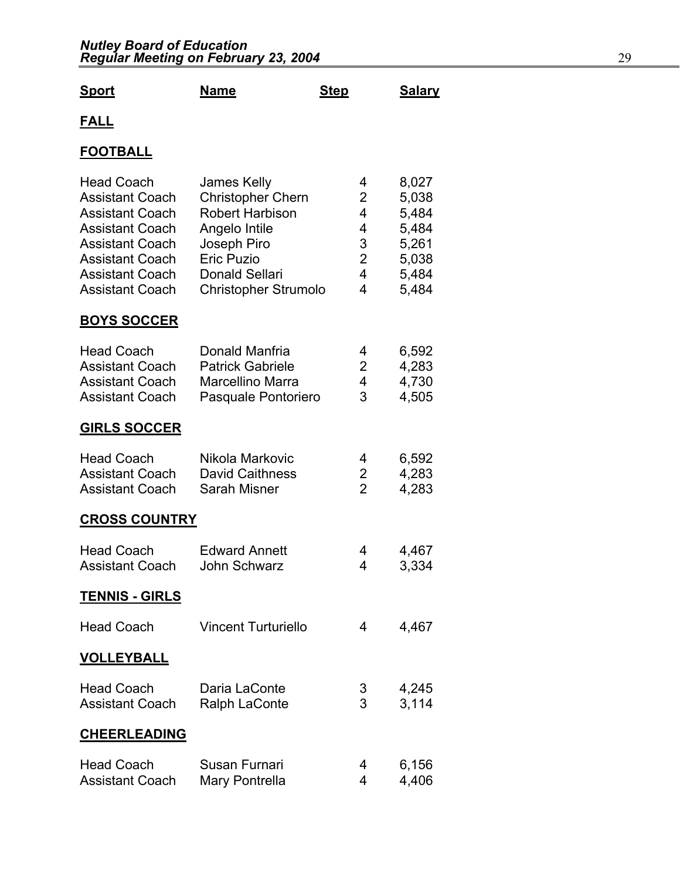#### *Nutley Board of Education Regular Meeting on February 23, 2004* 29

| <u>Sport</u>                                                                                                                                                                                            | <b>Name</b>                                                                                                                                                                    | <b>Step</b>                                       | <b>Salary</b>                                                        |
|---------------------------------------------------------------------------------------------------------------------------------------------------------------------------------------------------------|--------------------------------------------------------------------------------------------------------------------------------------------------------------------------------|---------------------------------------------------|----------------------------------------------------------------------|
| <u>FALL</u>                                                                                                                                                                                             |                                                                                                                                                                                |                                                   |                                                                      |
| <b>FOOTBALL</b>                                                                                                                                                                                         |                                                                                                                                                                                |                                                   |                                                                      |
| <b>Head Coach</b><br><b>Assistant Coach</b><br><b>Assistant Coach</b><br><b>Assistant Coach</b><br><b>Assistant Coach</b><br><b>Assistant Coach</b><br><b>Assistant Coach</b><br><b>Assistant Coach</b> | James Kelly<br><b>Christopher Chern</b><br><b>Robert Harbison</b><br>Angelo Intile<br>Joseph Piro<br><b>Eric Puzio</b><br><b>Donald Sellari</b><br><b>Christopher Strumolo</b> | 4<br>2<br>4<br>4<br>3<br>$\overline{2}$<br>4<br>4 | 8,027<br>5,038<br>5,484<br>5,484<br>5,261<br>5,038<br>5,484<br>5,484 |
| <b>BOYS SOCCER</b>                                                                                                                                                                                      |                                                                                                                                                                                |                                                   |                                                                      |
| <b>Head Coach</b><br><b>Assistant Coach</b><br><b>Assistant Coach</b><br><b>Assistant Coach</b>                                                                                                         | Donald Manfria<br><b>Patrick Gabriele</b><br><b>Marcellino Marra</b><br>Pasquale Pontoriero                                                                                    | 4<br>2<br>4<br>3                                  | 6,592<br>4,283<br>4,730<br>4,505                                     |
| <b>GIRLS SOCCER</b>                                                                                                                                                                                     |                                                                                                                                                                                |                                                   |                                                                      |
| <b>Head Coach</b><br><b>Assistant Coach</b><br><b>Assistant Coach</b>                                                                                                                                   | Nikola Markovic<br><b>David Caithness</b><br>Sarah Misner                                                                                                                      | 4<br>2<br>$\overline{2}$                          | 6,592<br>4,283<br>4,283                                              |
| <b>CROSS COUNTRY</b>                                                                                                                                                                                    |                                                                                                                                                                                |                                                   |                                                                      |
| <b>Head Coach</b><br><b>Assistant Coach</b>                                                                                                                                                             | <b>Edward Annett</b><br>John Schwarz                                                                                                                                           | 4<br>4                                            | 4,467<br>3,334                                                       |
| <u>TENNIS - GIRLS</u>                                                                                                                                                                                   |                                                                                                                                                                                |                                                   |                                                                      |
| <b>Head Coach</b>                                                                                                                                                                                       | <b>Vincent Turturiello</b>                                                                                                                                                     | 4                                                 | 4,467                                                                |
| <b>VOLLEYBALL</b>                                                                                                                                                                                       |                                                                                                                                                                                |                                                   |                                                                      |
| <b>Head Coach</b><br><b>Assistant Coach</b>                                                                                                                                                             | Daria LaConte<br><b>Ralph LaConte</b>                                                                                                                                          | 3<br>3                                            | 4,245<br>3,114                                                       |
| <b>CHEERLEADING</b>                                                                                                                                                                                     |                                                                                                                                                                                |                                                   |                                                                      |
| <b>Head Coach</b><br><b>Assistant Coach</b>                                                                                                                                                             | Susan Furnari<br>Mary Pontrella                                                                                                                                                | 4<br>4                                            | 6,156<br>4,406                                                       |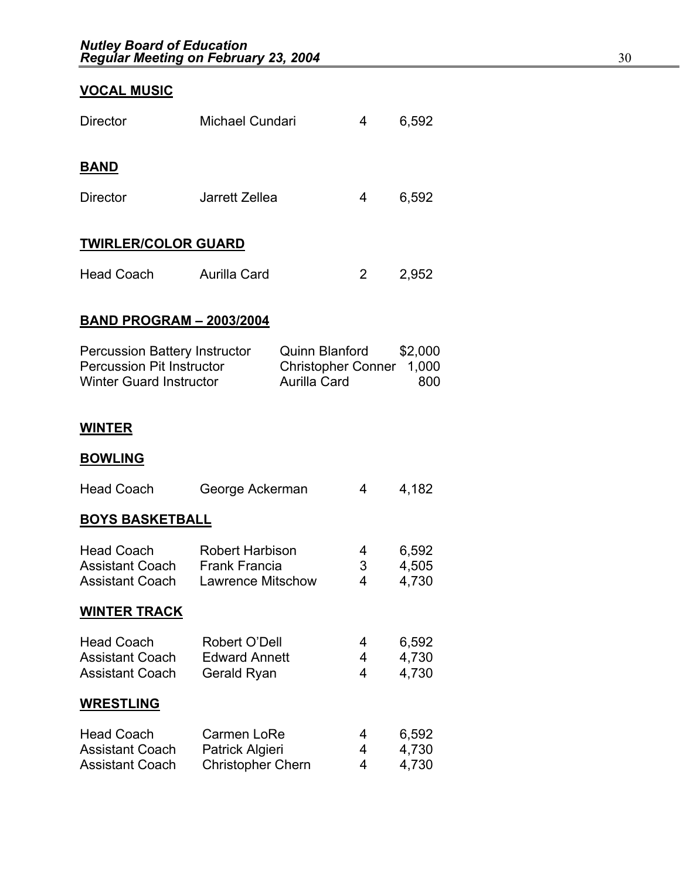## **VOCAL MUSIC**

| <b>Director</b>                                                                                            | Michael Cundari                                            |                                                                    | 4 | 6,592                   |
|------------------------------------------------------------------------------------------------------------|------------------------------------------------------------|--------------------------------------------------------------------|---|-------------------------|
|                                                                                                            |                                                            |                                                                    |   |                         |
| <b>BAND</b>                                                                                                |                                                            |                                                                    |   |                         |
| <b>Director</b>                                                                                            | Jarrett Zellea                                             |                                                                    | 4 | 6,592                   |
| <b>TWIRLER/COLOR GUARD</b>                                                                                 |                                                            |                                                                    |   |                         |
|                                                                                                            |                                                            |                                                                    |   |                         |
| <b>Head Coach</b>                                                                                          | <b>Aurilla Card</b>                                        |                                                                    | 2 | 2,952                   |
| <b>BAND PROGRAM - 2003/2004</b>                                                                            |                                                            |                                                                    |   |                         |
| <b>Percussion Battery Instructor</b><br><b>Percussion Pit Instructor</b><br><b>Winter Guard Instructor</b> |                                                            | Quinn Blanford<br><b>Christopher Conner</b><br><b>Aurilla Card</b> |   | \$2,000<br>1,000<br>800 |
| <b>WINTER</b>                                                                                              |                                                            |                                                                    |   |                         |
| <b>BOWLING</b>                                                                                             |                                                            |                                                                    |   |                         |
| <b>Head Coach</b>                                                                                          | George Ackerman                                            |                                                                    | 4 | 4,182                   |
| <b>BOYS BASKETBALL</b>                                                                                     |                                                            |                                                                    |   |                         |
| <b>Head Coach</b>                                                                                          | <b>Robert Harbison</b>                                     |                                                                    | 4 | 6,592                   |
| <b>Assistant Coach</b><br><b>Assistant Coach</b>                                                           | <b>Frank Francia</b><br>3<br><b>Lawrence Mitschow</b><br>4 |                                                                    |   | 4,505<br>4,730          |
| <b>WINTER TRACK</b>                                                                                        |                                                            |                                                                    |   |                         |
| <b>Head Coach</b>                                                                                          | Robert O'Dell                                              |                                                                    | 4 | 6,592                   |
| <b>Assistant Coach</b>                                                                                     | <b>Edward Annett</b>                                       |                                                                    | 4 | 4,730                   |
| <b>Assistant Coach</b>                                                                                     | Gerald Ryan                                                |                                                                    | 4 | 4,730                   |
| <b>WRESTLING</b>                                                                                           |                                                            |                                                                    |   |                         |
| Head Coach                                                                                                 | Carmon LoDo                                                |                                                                    |   | R 502                   |

| Head Coach             | Carmen LoRe              |   | 6,592 |
|------------------------|--------------------------|---|-------|
| <b>Assistant Coach</b> | Patrick Algieri          |   | 4.730 |
| <b>Assistant Coach</b> | <b>Christopher Chern</b> | 4 | 4.730 |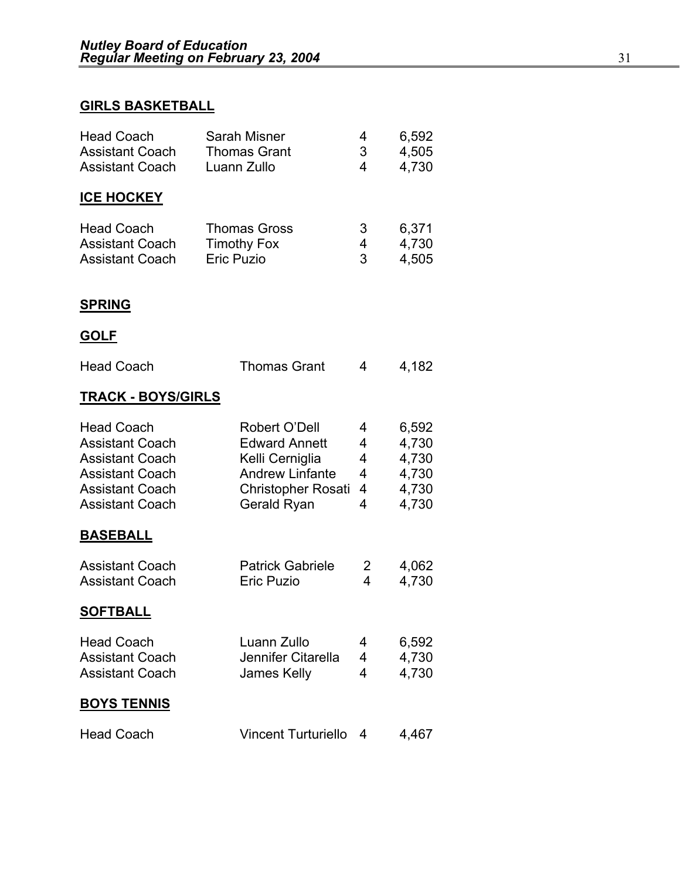### **GIRLS BASKETBALL**

| <b>Head Coach</b><br><b>Assistant Coach</b><br><b>Assistant Coach</b>                                                                               | Sarah Misner<br><b>Thomas Grant</b><br>Luann Zullo                                                                             | 4<br>3<br>4                | 6,592<br>4,505<br>4,730                            |
|-----------------------------------------------------------------------------------------------------------------------------------------------------|--------------------------------------------------------------------------------------------------------------------------------|----------------------------|----------------------------------------------------|
| <b>ICE HOCKEY</b>                                                                                                                                   |                                                                                                                                |                            |                                                    |
| <b>Head Coach</b><br><b>Assistant Coach</b><br><b>Assistant Coach</b>                                                                               | <b>Thomas Gross</b><br><b>Timothy Fox</b><br><b>Eric Puzio</b>                                                                 | 3<br>4<br>3                | 6,371<br>4,730<br>4,505                            |
| <b>SPRING</b>                                                                                                                                       |                                                                                                                                |                            |                                                    |
| <b>GOLF</b>                                                                                                                                         |                                                                                                                                |                            |                                                    |
| <b>Head Coach</b>                                                                                                                                   | <b>Thomas Grant</b>                                                                                                            | 4                          | 4,182                                              |
| <b>TRACK - BOYS/GIRLS</b>                                                                                                                           |                                                                                                                                |                            |                                                    |
| <b>Head Coach</b><br><b>Assistant Coach</b><br><b>Assistant Coach</b><br><b>Assistant Coach</b><br><b>Assistant Coach</b><br><b>Assistant Coach</b> | Robert O'Dell<br><b>Edward Annett</b><br>Kelli Cerniglia<br><b>Andrew Linfante</b><br><b>Christopher Rosati</b><br>Gerald Ryan | 4<br>4<br>4<br>4<br>4<br>4 | 6,592<br>4,730<br>4,730<br>4,730<br>4,730<br>4,730 |
| <b>BASEBALL</b>                                                                                                                                     |                                                                                                                                |                            |                                                    |
| <b>Assistant Coach</b><br><b>Assistant Coach</b>                                                                                                    | <b>Patrick Gabriele</b><br><b>Eric Puzio</b>                                                                                   | 2<br>4                     | 4,062<br>4,730                                     |
| <b>SOFTBALL</b>                                                                                                                                     |                                                                                                                                |                            |                                                    |
| <b>Head Coach</b><br><b>Assistant Coach</b><br><b>Assistant Coach</b>                                                                               | Luann Zullo<br>Jennifer Citarella<br>James Kelly                                                                               | 4<br>4<br>4                | 6,592<br>4,730<br>4,730                            |
| <b>BOYS TENNIS</b>                                                                                                                                  |                                                                                                                                |                            |                                                    |
| <b>Head Coach</b>                                                                                                                                   | <b>Vincent Turturiello</b>                                                                                                     | 4                          | 4,467                                              |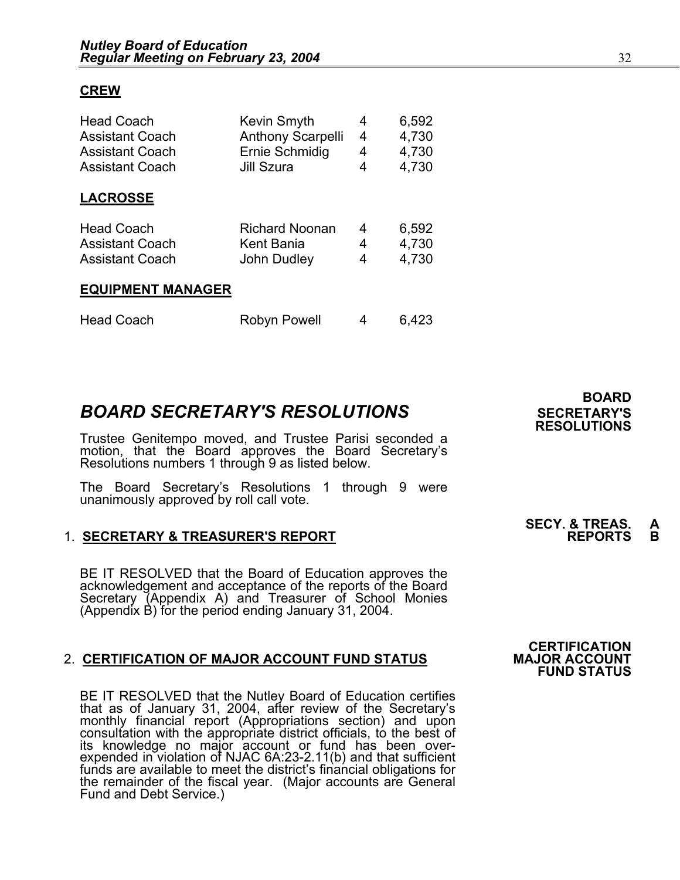#### **CREW**

| <b>Head Coach</b><br><b>Assistant Coach</b><br><b>Assistant Coach</b><br><b>Assistant Coach</b> | <b>Kevin Smyth</b><br><b>Anthony Scarpelli</b><br>Ernie Schmidig<br>Jill Szura | 4<br>4<br>4<br>4 | 6,592<br>4,730<br>4,730<br>4,730 |
|-------------------------------------------------------------------------------------------------|--------------------------------------------------------------------------------|------------------|----------------------------------|
| <b>LACROSSE</b>                                                                                 |                                                                                |                  |                                  |
| <b>Head Coach</b>                                                                               | <b>Richard Noonan</b>                                                          | 4                | 6,592                            |
| <b>Assistant Coach</b>                                                                          | Kent Bania                                                                     | 4                | 4,730                            |
| <b>Assistant Coach</b>                                                                          | John Dudley                                                                    | 4                | 4,730                            |
| <b>EQUIPMENT MANAGER</b>                                                                        |                                                                                |                  |                                  |

|  | <b>Head Coach</b> | Robyn Powell |  | 6,423 |
|--|-------------------|--------------|--|-------|
|--|-------------------|--------------|--|-------|

## **BOARD SECRETARY'S RESOLUTIONS** SECRETARY'S

Trustee Genitempo moved, and Trustee Parisi seconded a motion, that the Board approves the Board Secretary's Resolutions numbers 1 through 9 as listed below.

The Board Secretary's Resolutions 1 through 9 were unanimously approved by roll call vote.

#### 1. **SECRETARY & TREASURER'S REPORT**

 BE IT RESOLVED that the Board of Education approves the acknowledgement and acceptance of the reports of the Board<br>Secretary (Appendix A) and Treasurer of School Monies (Appendix B) for the period ending January 31, 2004.

#### 2. CERTIFICATION OF MAJOR ACCOUNT FUND STATUS

BE IT RESOLVED that the Nutley Board of Education certifies that as of January 31, 2004, after review of the Secretary's monthly financial report (Appropriations section) and upon consultation with the appropriate district officials, to the best of its knowledge no major account or fund has been overexpended in violation of NJAC 6A:23-2.11(b) and that sufficient<br>funds are available to meet the district's financial obligations for funds are available to meet the district's financial obligations for the remainder of the fiscal year. (Major accounts are General Fund and Debt Service.)

**BOARD RESOLUTIONS** 

# **SECY. & TREAS. A**

## **CERTIFICATION<br>MAJOR ACCOUNT FUND STATUS**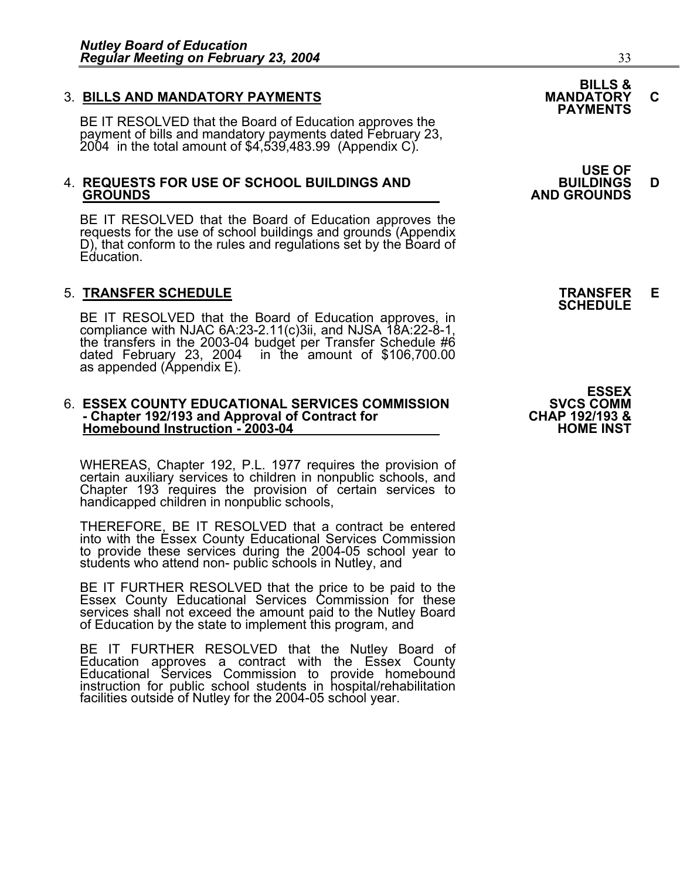3. BILLS AND MANDATORY PAYMENTS<br>BE IT RESOLVED that the Board of Education approves the **PAYMENTS** payment of bills and mandatory payments dated February 23, 2004 in the total amount of \$4,539,483.99 (Appendix C).

# 4. **REQUESTS FOR USE OF SCHOOL BUILDINGS AND BUILDINGS D GROUNDS AND GROUNDS**

BE IT RESOLVED that the Board of Education approves the requests for the use of school buildings and grounds (Appendix D), that conform to the rules and regulations set by the Board of Education.

5. **TRANSFER SCHEDULE**<br>**BE IT RESOLVED that the Board of Education approves, in SCHEDULE**<br>**BE IT RESOLVED that the Board of Education approves, in** compliance with NJAC 6A:23-2.11(c)3ii, and NJSA 18A:22-8-1, the transfers in the 2003-04 budget per Transfer Schedule #6 dated February 23, 2004 in the amount of \$106,700.00 as appended (Appendix E).

## 6. **ESSEX COUNTY EDUCATIONAL SERVICES COMMISSION** SVCS COMM<br>4 Chapter 192/193 and Approval of Contract for **Standal Community CHAP - Chapter 192/193 and Approval of Contract for CHAP 192/193 & Homebound Instruction - 2003-04 HOME INST**

WHEREAS, Chapter 192, P.L. 1977 requires the provision of certain auxiliary services to children in nonpublic schools, and Chapter 193 requires the provision of certain services to handicapped children in nonpublic schools,

THEREFORE, BE IT RESOLVED that a contract be entered into with the Essex County Educational Services Commission to provide these services during the 2004-05 school year to<br>students who attend non- public schools in Nutley, and

BE IT FURTHER RESOLVED that the price to be paid to the Essex County Educational Services Commission for these services shall not exceed the amount paid to the Nutley Board of Education by the state to implement this program, and

BE IT FURTHER RESOLVED that the Nutley Board of<br>Education approves a contract with the Essex County Educational Services Commission to provide homebound<br>instruction for public school students in hospital/rehabilitation<br>facilities outside of Nutley for the 2004-05 school year.

**USE OF** 

**ESSEX<br>SVCS COMM**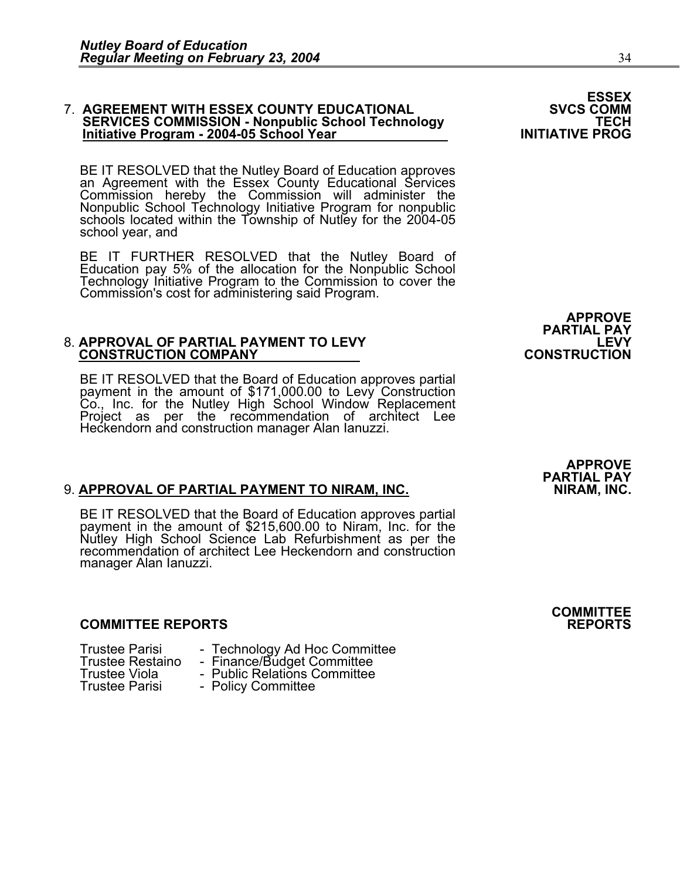## 7. AGREEMENT WITH ESSEX COUNTY EDUCATIONAL **SUIT ASSEX COUNTY EDUCATIONAL**<br>SERVICES COMMISSION - Nonpublic School Technology  **SERVICES COMMISSION - Nonpublic School Technology TECH Initiative Program - 2004-05 School Year INITIATIVE PROG**

BE IT RESOLVED that the Nutley Board of Education approves an Agreement with the Essex County Educational Services Commission hereby the Commission will administer the Nonpublic School Technology Initiative Program for nonpublic schools located within the Township of Nutley for the 2004-05 school year, and

BE IT FURTHER RESOLVED that the Nutley Board of Education pay 5% of the allocation for the Nonpublic School Technology Initiative Program to the Commission to cover the Commission's cost for administering said Program.

# 8. **APPROVAL OF PARTIAL PAYMENT TO LEVY LEVY CONSTRUCTION COMPANY CONSTRUCTION**

BE IT RESOLVED that the Board of Education approves partial payment in the amount of \$171,000.00 to Levy Construction Co., Inc. for the Nutley High School Window Replacement<br>Project as per the recommendation of architect Lee Heckendorn and construction manager Alan Ianuzzi.

### **9. APPROVAL OF PARTIAL PAYMENT TO NIRAM, INC.**

BE IT RESOLVED that the Board of Education approves partial payment in the amount of \$215,600.00 to Niram, Inc. for the Nutley High School Science Lab Refurbishment as per the recommendation of architect Lee Heckendorn and construction manager Alan Ianuzzi.

#### **COMMITTEE REPORTS REPORTS**

| <b>Trustee Parisi</b> |                         |
|-----------------------|-------------------------|
|                       | <b>Trustee Restaind</b> |
| <b>Trustee Viola</b>  |                         |
| <b>Trustee Parisi</b> |                         |

- Frustee Technology Ad Hoc Committee Finance/Budget Committee Finance/Budget Committee Public Relations Committee -
	-
- 
- - - Policy Committee

APPROVE<br>PARTIAL PAY<br>LEVY

**APPROVE PARTIAL PAY** 

**COMMITTEE**